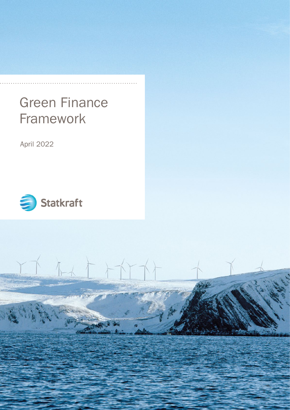# Green Finance Framework

April 2022



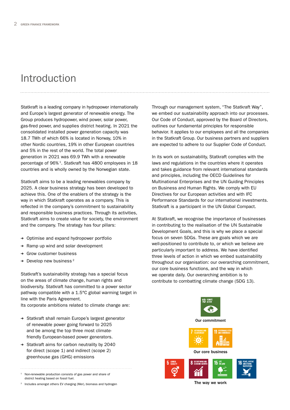### Introduction

Statkraft is a leading company in hydropower internationally and Europe's largest generator of renewable energy. The Group produces hydropower, wind power, solar power, gas-fired power, and supplies district heating. In 2021 the consolidated installed power generation capacity was 18.7 TWh of which 66% is located in Norway, 10% in other Nordic countries, 19% in other European countries and 5% in the rest of the world. The total power generation in 2021 was 69.9 TWh with a renewable percentage of 96% 1. Statkraft has 4800 employees in 18 countries and is wholly owned by the Norwegian state.

Statkraft aims to be a leading renewables company by 2025. A clear business strategy has been developed to achieve this. One of the enablers of the strategy is the way in which Statkraft operates as a company. This is reflected in the company's commitment to sustainability and responsible business practices. Through its activities, Statkraft aims to create value for society, the environment and the company. The strategy has four pillars:

- ➔ Optimise and expand hydropower portfolio
- ➔ Ramp up wind and solar development
- ➔ Grow customer business
- $\rightarrow$  Develop new business<sup>2</sup>

Statkraft's sustainability strategy has a special focus on the areas of climate change, human rights and biodiversity. Statkraft has committed to a power sector pathway compatible with a 1.5°C global warming target in line with the Paris Agreement.

Its corporate ambitions related to climate change are:

- ➔ Statkraft shall remain Europe's largest generator of renewable power going forward to 2025 and be among the top three most climatefriendly European-based power generators.
- ➔ Statkraft aims for carbon neutrality by 2040 for direct (scope 1) and indirect (scope 2) greenhouse gas (GHG) emissions

<sup>1</sup> Non-renewable production consists of gas power and share of

district heating based on fossil fuel.

Includes amongst others EV charging (Mer), biomass and hydrogen

Through our management system, "The Statkraft Way", we embed our sustainability approach into our processes. Our Code of Conduct, approved by the Board of Directors, outlines our fundamental principles for responsible behavior. It applies to our employees and all the companies in the Statkraft Group. Our business partners and suppliers are expected to adhere to our Supplier Code of Conduct.

In its work on sustainability, Statkraft complies with the laws and regulations in the countries where it operates and takes guidance from relevant international standards and principles, including the OECD Guidelines for Multinational Enterprises and the UN Guiding Principles on Business and Human Rights. We comply with EU Directives for our European activities and with IFC Performance Standards for our international investments. Statkraft is a participant in the UN Global Compact.

At Statkraft, we recognise the importance of businesses in contributing to the realisation of the UN Sustainable Development Goals, and this is why we place a special focus on seven SDGs. These are goals which we are well-positioned to contribute to, or which we believe are particularly important to address. We have identified three levels of action in which we embed sustainability throughout our organisation: our overarching commitment, our core business functions, and the way in which we operate daily. Our overarching ambition is to contribute to combatting climate change (SDG 13).



The way we work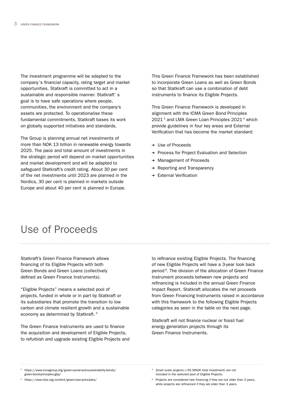The investment programme will be adapted to the company´s financial capacity, rating target and market opportunities. Statkraft is committed to act in a sustainable and responsible manner. Statkraft' s goal is to have safe operations where people, communities, the environment and the company's assets are protected. To operationalise these fundamental commitments, Statkraft bases its work on globally supported initiatives and standards.

The Group is planning annual net investments of more than NOK 13 billion in renewable energy towards 2025. The pace and total amount of investments in the strategic period will depend on market opportunities and market development and will be adapted to safeguard Statkraft's credit rating. About 30 per cent of the net investments until 2023 are planned in the Nordics, 30 per cent is planned in markets outside Europe and about 40 per cent is planned in Europe.

This Green Finance Framework has been established to incorporate Green Loans as well as Green Bonds so that Statkraft can use a combination of debt instruments to finance its Eligible Projects.

This Green Finance Framework is developed in alignment with the ICMA Green Bond Principles 2021<sup>3</sup> and LMA Green Loan Principles 2021<sup>4</sup> which provide guidelines in four key areas and External Verification that has become the market standard:

- ➔ Use of Proceeds
- ➔ Process for Project Evaluation and Selection
- ➔ Management of Proceeds
- ➔ Reporting and Transparency
- ➔ External Verification

#### Use of Proceeds

Statkraft's Green Finance Framework allows financing of its Eligible Projects with both Green Bonds and Green Loans (collectively defined as Green Finance Instruments).

"Eligible Projects" means a selected pool of projects, funded in whole or in part by Statkraft or its subsidiaries that promote the transition to low carbon and climate resilient growth and a sustainable economy as determined by Statkraft. 5

The Green Finance Instruments are used to finance the acquisition and development of Eligible Projects, to refurbish and upgrade existing Eligible Projects and to refinance existing Eligible Projects. The financing of new Eligible Projects will have a 3-year look back period 6. The division of the allocation of Green Finance Instrument proceeds between new projects and refinancing is included in the annual Green Finance Impact Report. Statkraft allocates the net proceeds from Green Financing Instruments raised in accordance with this framework to the following Eligible Projects categories as seen in the table on the next page.

Statkraft will not finance nuclear or fossil fuel energy generation projects through its Green Finance Instruments.

- <sup>5</sup> Small scale projects (<50 MNOK total investment) are not included in the selected pool of Eligible Projects.
- <sup>6</sup> Projects are considered new financing if they are not older than 3 years, while projects are refinanced if they are older than 3 years.

<sup>3</sup> [https://www.icmagroup.org/green-social-and-sustainability-bonds/](https://www.icmagroup.org/green-social-and-sustainability-bonds/green-bond-principles-gbp/) [green-bond-principles-gbp/](https://www.icmagroup.org/green-social-and-sustainability-bonds/green-bond-principles-gbp/)

<sup>4</sup> <https://www.lsta.org/content/green-loan-principles/>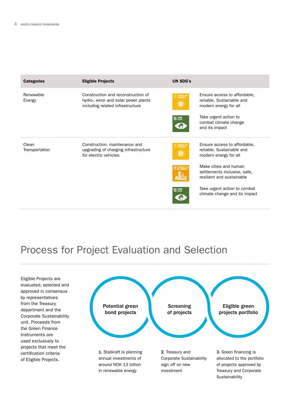| <b>Categories</b>       | <b>Eligible Projects</b>                                                                                       | <b>UN SDG's</b>                |                                                                                    |
|-------------------------|----------------------------------------------------------------------------------------------------------------|--------------------------------|------------------------------------------------------------------------------------|
| Renewable<br>Energy     | Construction and reconstruction of<br>hydro-, wind- and solar power plants<br>including related infrastructure | AFFORDABLE AND<br>CLEAN ENERGY | Ensure access to affordable,<br>reliable. Sustainable and<br>modern energy for all |
|                         |                                                                                                                | 13 GLIMATE                     | Take urgent action to<br>combat climate change<br>and its impact                   |
| Clean<br>Transportation | Construction, maintenance and<br>upgrading of charging infrastructure<br>for electric vehicles                 | AFFORDABLE AND<br>CLEAN ENERGY | Ensure access to affordable,<br>reliable. Sustainable and<br>modern energy for all |
|                         |                                                                                                                | 11 SUSTAINABLE CITIES          | Make cities and human<br>settlements inclusive, safe,<br>resilient and sustainable |
|                         |                                                                                                                | 13 GLIMATE                     | Take urgent action to combat<br>climate change and its impact                      |

## Process for Project Evaluation and Selection

Eligible Projects are evaluated, selected and approved in consensus by representatives from the Treasury department and the Corporate Sustainability unit. Proceeds from the Green Finance Instruments are used exclusively to projects that meet the certification criteria of Eligible Projects.



S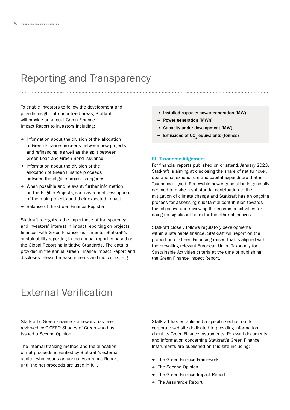#### Reporting and Transparency

To enable investors to follow the development and provide insight into prioritized areas, Statkraft will provide an annual Green Finance Impact Report to investors including:

- ➔ Information about the division of the allocation of Green Finance proceeds between new projects and refinancing, as well as the split between Green Loan and Green Bond issuance
- ➔ Information about the division of the allocation of Green Finance proceeds between the eligible project categories
- ➔ When possible and relevant, further information on the Eligible Projects, such as a brief description of the main projects and their expected impact
- ➔ Balance of the Green Finance Register

Statkraft recognizes the importance of transparency and investors' interest in impact reporting on projects financed with Green Finance Instruments. Statkraft's sustainability reporting in the annual report is based on the Global Reporting Initiative Standards. The data is provided in the annual Green Finance Impact Report and discloses relevant measurements and indicators, e.g.;

- ➔ Installed capacity power generation (MW)
- ➔ Power generation (MWh)
- ➔ Capacity under development (MW)
- $\rightarrow$  Emissions of CO<sub>2</sub> equivalents (tonnes)

#### EU Taxonomy Alignment

For financial reports published on or after 1 January 2023, Statkraft is aiming at disclosing the share of net turnover, operational expenditure and capital expenditure that is Taxonomy-aligned. Renewable power generation is generally deemed to make a substantial contribution to the mitigation of climate change and Statkraft has an ongoing process for assessing substantial contribution towards this objective and reviewing the economic activities for doing no significant harm for the other objectives.

Statkraft closely follows regulatory developments within sustainable finance. Statkraft will report on the proportion of Green Financing raised that is aligned with the prevailing relevant European Union Taxonomy for Sustainable Activities criteria at the time of publishing the Green Finance Impact Report.

### External Verification

Statkraft's Green Finance Framework has been reviewed by CICERO Shades of Green who has issued a Second Opinion.

The internal tracking method and the allocation of net proceeds is verified by Statkraft's external auditor who issues an annual Assurance Report until the net proceeds are used in full.

Statkraft has established a specific section on its corporate website dedicated to providing information about its Green Finance Instruments. Relevant documents and information concerning Statkraft's Green Finance Instruments are published on this site including:

- ➔ The Green Finance Framework
- ➔ The Second Opinion
- ➔ The Green Finance Impact Report
- ➔ The Assurance Report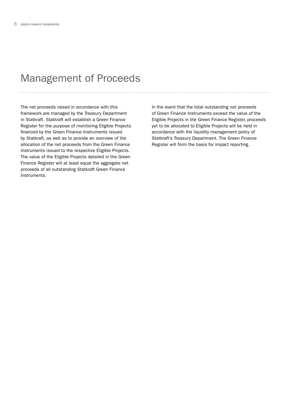#### Management of Proceeds

The net proceeds raised in accordance with this framework are managed by the Treasury Department in Statkraft. Statkraft will establish a Green Finance Register for the purpose of monitoring Eligible Projects financed by the Green Finance Instruments issued by Statkraft, as well as to provide an overview of the allocation of the net proceeds from the Green Finance Instruments issued to the respective Eligible Projects. The value of the Eligible Projects detailed in the Green Finance Register will at least equal the aggregate net proceeds of all outstanding Statkraft Green Finance Instruments.

In the event that the total outstanding net proceeds of Green Finance Instruments exceed the value of the Eligible Projects in the Green Finance Register, proceeds yet to be allocated to Eligible Projects will be held in accordance with the liquidity management policy of Statkraft's Treasury Department. The Green Finance Register will form the basis for impact reporting.